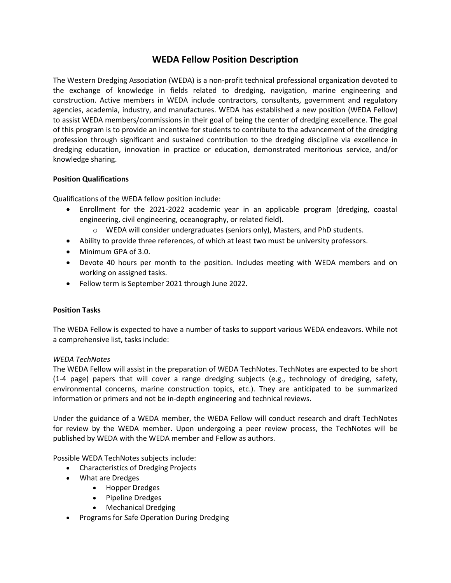# **WEDA Fellow Position Description**

The Western Dredging Association (WEDA) is a non-profit technical professional organization devoted to the exchange of knowledge in fields related to dredging, navigation, marine engineering and construction. Active members in WEDA include contractors, consultants, government and regulatory agencies, academia, industry, and manufactures. WEDA has established a new position (WEDA Fellow) to assist WEDA members/commissions in their goal of being the center of dredging excellence. The goal of this program is to provide an incentive for students to contribute to the advancement of the dredging profession through significant and sustained contribution to the dredging discipline via excellence in dredging education, innovation in practice or education, demonstrated meritorious service, and/or knowledge sharing.

## **Position Qualifications**

Qualifications of the WEDA fellow position include:

- Enrollment for the 2021-2022 academic year in an applicable program (dredging, coastal engineering, civil engineering, oceanography, or related field).
	- o WEDA will consider undergraduates (seniors only), Masters, and PhD students.
- Ability to provide three references, of which at least two must be university professors.
- Minimum GPA of 3.0.
- Devote 40 hours per month to the position. Includes meeting with WEDA members and on working on assigned tasks.
- Fellow term is September 2021 through June 2022.

# **Position Tasks**

The WEDA Fellow is expected to have a number of tasks to support various WEDA endeavors. While not a comprehensive list, tasks include:

### *WEDA TechNotes*

The WEDA Fellow will assist in the preparation of WEDA TechNotes. TechNotes are expected to be short (1-4 page) papers that will cover a range dredging subjects (e.g., technology of dredging, safety, environmental concerns, marine construction topics, etc.). They are anticipated to be summarized information or primers and not be in-depth engineering and technical reviews.

Under the guidance of a WEDA member, the WEDA Fellow will conduct research and draft TechNotes for review by the WEDA member. Upon undergoing a peer review process, the TechNotes will be published by WEDA with the WEDA member and Fellow as authors.

Possible WEDA TechNotes subjects include:

- Characteristics of Dredging Projects
- What are Dredges
	- Hopper Dredges
	- Pipeline Dredges
	- Mechanical Dredging
- Programs for Safe Operation During Dredging